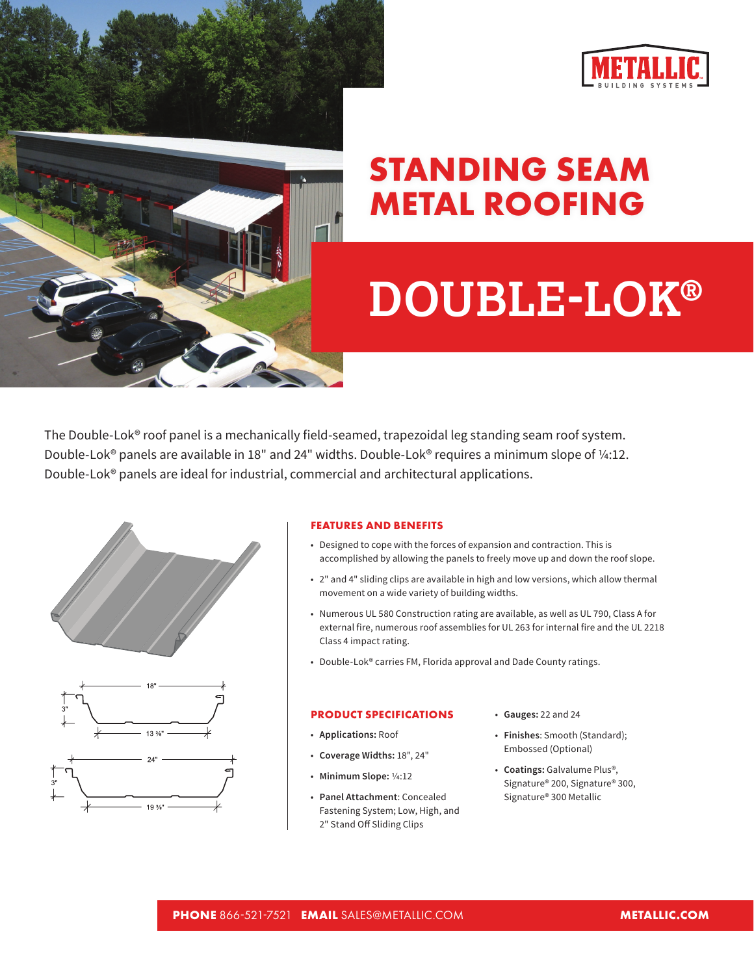



## **STANDING SEAM METAL ROOFING**

# **DOUBLE-LOK®**

The Double-Lok® roof panel is a mechanically field-seamed, trapezoidal leg standing seam roof system. Double-Lok® panels are available in 18" and 24" widths. Double-Lok® requires a minimum slope of ¼:12. Double-Lok® panels are ideal for industrial, commercial and architectural applications.





#### **FEATURES AND BENEFITS**

- Designed to cope with the forces of expansion and contraction. This is accomplished by allowing the panels to freely move up and down the roof slope.
- 2" and 4" sliding clips are available in high and low versions, which allow thermal movement on a wide variety of building widths.
- Numerous UL 580 Construction rating are available, as well as UL 790, Class A for external fire, numerous roof assemblies for UL 263 for internal fire and the UL 2218 Class 4 impact rating.
- Double-Lok® carries FM, Florida approval and Dade County ratings.

#### **PRODUCT SPECIFICATIONS**

- **Applications:** Roof
- **Coverage Widths:** 18", 24"
- **Minimum Slope:** 1/4:12
- **Panel Attachment**: Concealed Fastening System; Low, High, and 2" Stand Off Sliding Clips
- **Gauges:** 22 and 24
- **Finishes**: Smooth (Standard); Embossed (Optional)
- **Coatings:** Galvalume Plus®, Signature® 200, Signature® 300, Signature® 300 Metallic